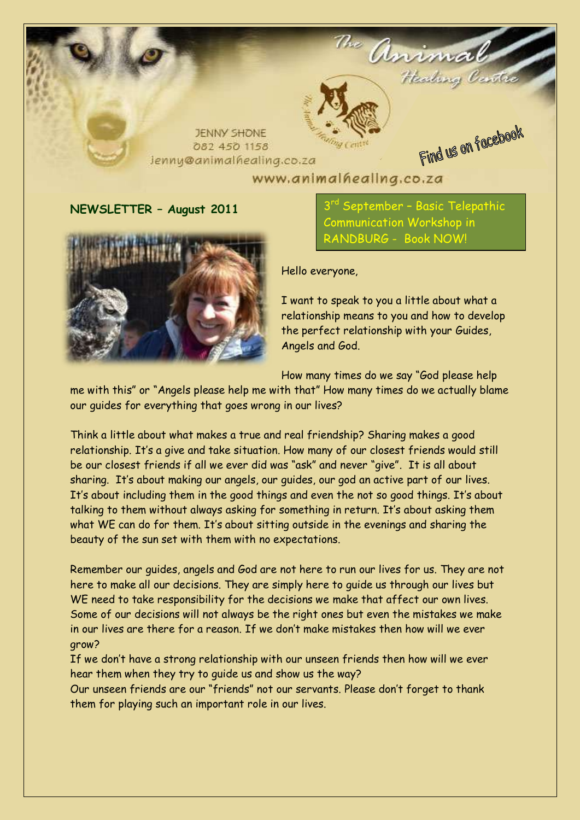

www.animalhealing.co.za

## **NEWSLETTER – August 2011**



3 September – Basic Telepathic Communication Workshop in RANDBURG - Book NOW!

Hello everyone,

I want to speak to you a little about what a relationship means to you and how to develop the perfect relationship with your Guides, Angels and God.

How many times do we say "God please help

me with this" or "Angels please help me with that" How many times do we actually blame our guides for everything that goes wrong in our lives?

Think a little about what makes a true and real friendship? Sharing makes a good relationship. It's a give and take situation. How many of our closest friends would still be our closest friends if all we ever did was "ask" and never "give". It is all about sharing. It's about making our angels, our guides, our god an active part of our lives. It's about including them in the good things and even the not so good things. It's about talking to them without always asking for something in return. It's about asking them what WE can do for them. It's about sitting outside in the evenings and sharing the beauty of the sun set with them with no expectations.

Remember our guides, angels and God are not here to run our lives for us. They are not here to make all our decisions. They are simply here to guide us through our lives but WE need to take responsibility for the decisions we make that affect our own lives. Some of our decisions will not always be the right ones but even the mistakes we make in our lives are there for a reason. If we don't make mistakes then how will we ever grow?

If we don't have a strong relationship with our unseen friends then how will we ever hear them when they try to guide us and show us the way?

Our unseen friends are our "friends" not our servants. Please don't forget to thank them for playing such an important role in our lives.